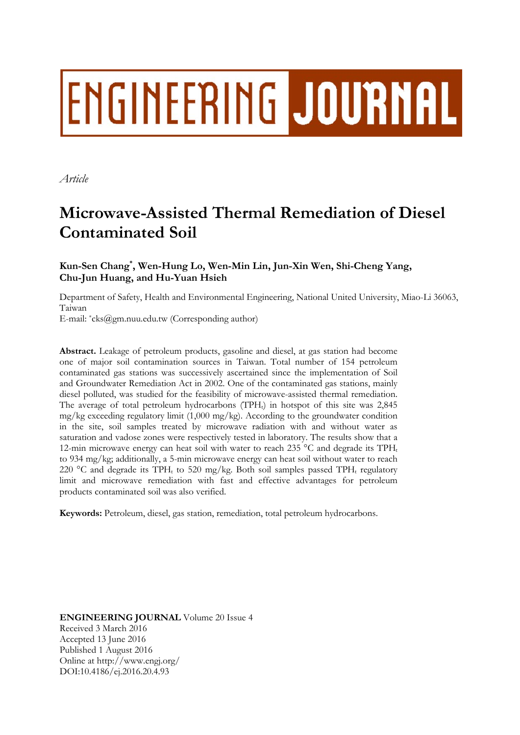# ENGINEERING JOURNAL

*Article* 

# **Microwave-Assisted Thermal Remediation of Diesel Contaminated Soil**

# **Kun-Sen Chang\* , Wen-Hung Lo, Wen-Min Lin, Jun-Xin Wen, Shi-Cheng Yang, Chu-Jun Huang, and Hu-Yuan Hsieh**

Department of Safety, Health and Environmental Engineering, National United University, Miao-Li 36063, Taiwan

E-mail: \*cks@gm.nuu.edu.tw (Corresponding author)

**Abstract.** Leakage of petroleum products, gasoline and diesel, at gas station had become one of major soil contamination sources in Taiwan. Total number of 154 petroleum contaminated gas stations was successively ascertained since the implementation of Soil and Groundwater Remediation Act in 2002. One of the contaminated gas stations, mainly diesel polluted, was studied for the feasibility of microwave-assisted thermal remediation. The average of total petroleum hydrocarbons (TPH<sub>t</sub>) in hotspot of this site was  $2,845$  $mg/kg$  exceeding regulatory limit  $(1,000 \text{ mg/kg})$ . According to the groundwater condition in the site, soil samples treated by microwave radiation with and without water as saturation and vadose zones were respectively tested in laboratory. The results show that a 12-min microwave energy can heat soil with water to reach 235  $^{\circ}$ C and degrade its TPH<sub>t</sub> to 934 mg/kg; additionally, a 5-min microwave energy can heat soil without water to reach 220 °C and degrade its TPH<sub>t</sub> to 520 mg/kg. Both soil samples passed TPH<sub>t</sub> regulatory limit and microwave remediation with fast and effective advantages for petroleum products contaminated soil was also verified.

**Keywords:** Petroleum, diesel, gas station, remediation, total petroleum hydrocarbons.

**ENGINEERING JOURNAL** Volume 20 Issue 4 Received 3 March 2016 Accepted 13 June 2016 Published 1 August 2016 Online at http://www.engj.org/ DOI:10.4186/ej.2016.20.4.93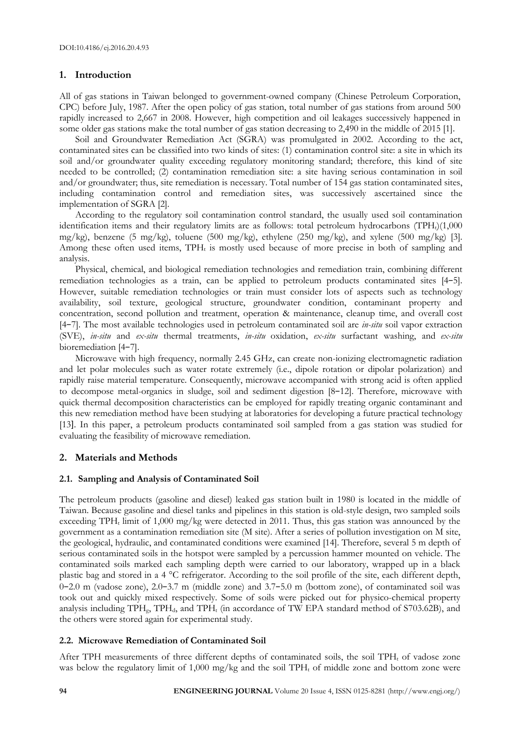## **1. Introduction**

All of gas stations in Taiwan belonged to government-owned company (Chinese Petroleum Corporation, CPC) before July, 1987. After the open policy of gas station, total number of gas stations from around 500 rapidly increased to 2,667 in 2008. However, high competition and oil leakages successively happened in some older gas stations make the total number of gas station decreasing to 2,490 in the middle of 2015 [1].

Soil and Groundwater Remediation Act (SGRA) was promulgated in 2002. According to the act, contaminated sites can be classified into two kinds of sites: (1) contamination control site: a site in which its soil and/or groundwater quality exceeding regulatory monitoring standard; therefore, this kind of site needed to be controlled; (2) contamination remediation site: a site having serious contamination in soil and/or groundwater; thus, site remediation is necessary. Total number of 154 gas station contaminated sites, including contamination control and remediation sites, was successively ascertained since the implementation of SGRA [2].

According to the regulatory soil contamination control standard, the usually used soil contamination identification items and their regulatory limits are as follows: total petroleum hydrocarbons  $(TPH<sub>t</sub>)(1,000)$ mg/kg), benzene (5 mg/kg), toluene (500 mg/kg), ethylene (250 mg/kg), and xylene (500 mg/kg) [3]. Among these often used items,  $TPH_t$  is mostly used because of more precise in both of sampling and analysis.

Physical, chemical, and biological remediation technologies and remediation train, combining different remediation technologies as a train, can be applied to petroleum products contaminated sites [4−5]. However, suitable remediation technologies or train must consider lots of aspects such as technology availability, soil texture, geological structure, groundwater condition, contaminant property and concentration, second pollution and treatment, operation & maintenance, cleanup time, and overall cost [4−7]. The most available technologies used in petroleum contaminated soil are *in-situ* soil vapor extraction (SVE), *in-situ* and *ex-situ* thermal treatments, *in-situ* oxidation, *ex-situ* surfactant washing, and *ex-situ* bioremediation [4−7].

Microwave with high frequency, normally 2.45 GHz, can create non-ionizing electromagnetic radiation and let polar molecules such as water rotate extremely (i.e., dipole rotation or dipolar polarization) and rapidly raise material temperature. Consequently, microwave accompanied with strong acid is often applied to decompose metal-organics in sludge, soil and sediment digestion [8−12]. Therefore, microwave with quick thermal decomposition characteristics can be employed for rapidly treating organic contaminant and this new remediation method have been studying at laboratories for developing a future practical technology [13]. In this paper, a petroleum products contaminated soil sampled from a gas station was studied for evaluating the feasibility of microwave remediation.

# **2. Materials and Methods**

## **2.1. Sampling and Analysis of Contaminated Soil**

The petroleum products (gasoline and diesel) leaked gas station built in 1980 is located in the middle of Taiwan. Because gasoline and diesel tanks and pipelines in this station is old-style design, two sampled soils exceeding TPH<sub>t</sub> limit of 1,000 mg/kg were detected in 2011. Thus, this gas station was announced by the government as a contamination remediation site (M site). After a series of pollution investigation on M site, the geological, hydraulic, and contaminated conditions were examined [14]. Therefore, several 5 m depth of serious contaminated soils in the hotspot were sampled by a percussion hammer mounted on vehicle. The contaminated soils marked each sampling depth were carried to our laboratory, wrapped up in a black plastic bag and stored in a 4 °C refrigerator. According to the soil profile of the site, each different depth, 0−2.0 m (vadose zone), 2.0−3.7 m (middle zone) and 3.7−5.0 m (bottom zone), of contaminated soil was took out and quickly mixed respectively. Some of soils were picked out for physico-chemical property analysis including  $TPH_{g}$ ,  $TPH_{d}$ , and  $TPH_{t}$  (in accordance of TW EPA standard method of S703.62B), and the others were stored again for experimental study.

## **2.2. Microwave Remediation of Contaminated Soil**

After TPH measurements of three different depths of contaminated soils, the soil TPH<sub>t</sub> of vadose zone was below the regulatory limit of 1,000 mg/kg and the soil  $TPH_t$  of middle zone and bottom zone were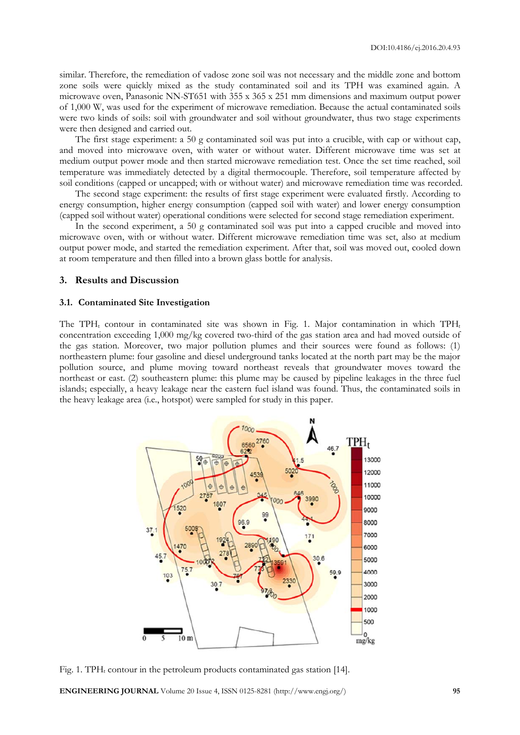similar. Therefore, the remediation of vadose zone soil was not necessary and the middle zone and bottom zone soils were quickly mixed as the study contaminated soil and its TPH was examined again. A microwave oven, Panasonic NN-ST651 with 355 x 365 x 251 mm dimensions and maximum output power of 1,000 W, was used for the experiment of microwave remediation. Because the actual contaminated soils were two kinds of soils: soil with groundwater and soil without groundwater, thus two stage experiments were then designed and carried out.

The first stage experiment: a 50 g contaminated soil was put into a crucible, with cap or without cap, and moved into microwave oven, with water or without water. Different microwave time was set at medium output power mode and then started microwave remediation test. Once the set time reached, soil temperature was immediately detected by a digital thermocouple. Therefore, soil temperature affected by soil conditions (capped or uncapped; with or without water) and microwave remediation time was recorded.

The second stage experiment: the results of first stage experiment were evaluated firstly. According to energy consumption, higher energy consumption (capped soil with water) and lower energy consumption (capped soil without water) operational conditions were selected for second stage remediation experiment.

In the second experiment, a 50 g contaminated soil was put into a capped crucible and moved into microwave oven, with or without water. Different microwave remediation time was set, also at medium output power mode, and started the remediation experiment. After that, soil was moved out, cooled down at room temperature and then filled into a brown glass bottle for analysis.

#### **3. Results and Discussion**

#### **3.1. Contaminated Site Investigation**

The TPH<sub>t</sub> contour in contaminated site was shown in Fig. 1. Major contamination in which TPH<sub>t</sub> concentration exceeding 1,000 mg/kg covered two-third of the gas station area and had moved outside of the gas station. Moreover, two major pollution plumes and their sources were found as follows: (1) northeastern plume: four gasoline and diesel underground tanks located at the north part may be the major pollution source, and plume moving toward northeast reveals that groundwater moves toward the northeast or east. (2) southeastern plume: this plume may be caused by pipeline leakages in the three fuel islands; especially, a heavy leakage near the eastern fuel island was found. Thus, the contaminated soils in the heavy leakage area (i.e., hotspot) were sampled for study in this paper.



Fig. 1. TPH<sub>t</sub> contour in the petroleum products contaminated gas station [14].

**ENGINEERING JOURNAL** Volume 20 Issue 4, ISSN 0125-8281 (http://www.engj.org/) **95**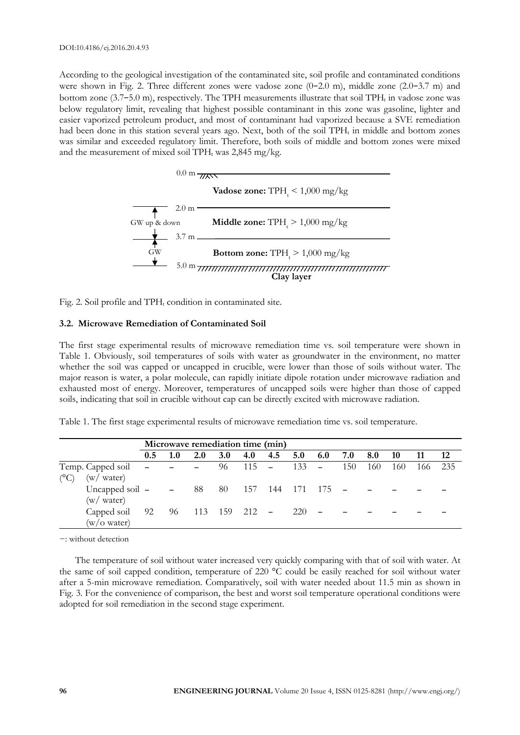According to the geological investigation of the contaminated site, soil profile and contaminated conditions were shown in Fig. 2. Three different zones were vadose zone (0−2.0 m), middle zone (2.0−3.7 m) and bottom zone (3.7–5.0 m), respectively. The TPH measurements illustrate that soil TPH<sub>t</sub> in vadose zone was below regulatory limit, revealing that highest possible contaminant in this zone was gasoline, lighter and easier vaporized petroleum product, and most of contaminant had vaporized because a SVE remediation had been done in this station several years ago. Next, both of the soil TPH<sub>t</sub> in middle and bottom zones was similar and exceeded regulatory limit. Therefore, both soils of middle and bottom zones were mixed and the measurement of mixed soil TPH<sub>t</sub> was  $2,845$  mg/kg.



Fig. 2. Soil profile and  $TPH_t$  condition in contaminated site.

#### **3.2. Microwave Remediation of Contaminated Soil**

The first stage experimental results of microwave remediation time vs. soil temperature were shown in Table 1. Obviously, soil temperatures of soils with water as groundwater in the environment, no matter whether the soil was capped or uncapped in crucible, were lower than those of soils without water. The major reason is water, a polar molecule, can rapidly initiate dipole rotation under microwave radiation and exhausted most of energy. Moreover, temperatures of uncapped soils were higher than those of capped soils, indicating that soil in crucible without cap can be directly excited with microwave radiation.

|  | Table 1. The first stage experimental results of microwave remediation time vs. soil temperature. |  |  |  |
|--|---------------------------------------------------------------------------------------------------|--|--|--|
|  |                                                                                                   |  |  |  |

|                                         | Microwave remediation time (min) |     |                      |            |         |     |                 |     |     |     |     |      |       |
|-----------------------------------------|----------------------------------|-----|----------------------|------------|---------|-----|-----------------|-----|-----|-----|-----|------|-------|
|                                         | 0.5                              | 1.0 | <b>2.0</b>           | <b>3.0</b> | 4.0     | 4.5 | 5.0             | 6.0 | 7.0 | 8.0 | 10  | -11  | 12    |
| Temp. Capped soil – –<br>(w / water)    |                                  |     |                      | 96         | $115 -$ |     | $133 -$         |     | 150 | 160 | 160 | -166 | - 235 |
| Uncapped soil $ -$ 88<br>(w / water)    |                                  |     |                      | 80         |         |     | 157 144 171 175 |     |     |     |     |      |       |
| Capped soil 92<br>$(w/O \text{ water})$ |                                  |     | 96 113 159 212 - 220 |            |         |     |                 |     |     |     |     |      |       |

−: without detection

The temperature of soil without water increased very quickly comparing with that of soil with water. At the same of soil capped condition, temperature of 220 °C could be easily reached for soil without water after a 5-min microwave remediation. Comparatively, soil with water needed about 11.5 min as shown in Fig. 3. For the convenience of comparison, the best and worst soil temperature operational conditions were adopted for soil remediation in the second stage experiment.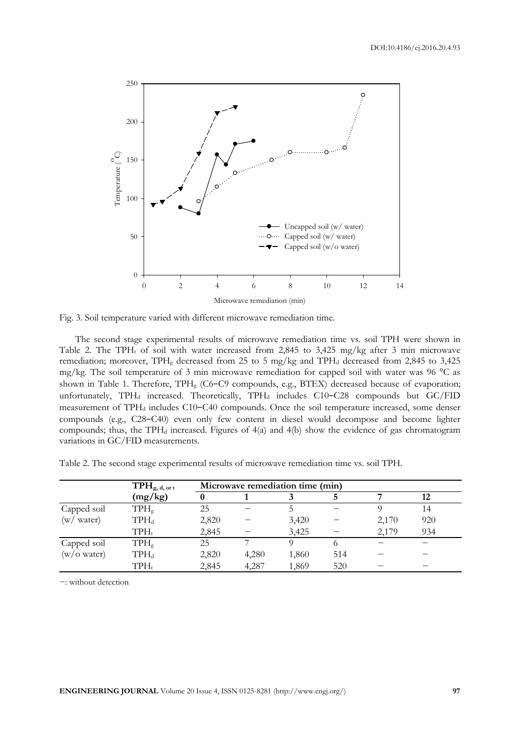

Fig. 3. Soil temperature varied with different microwave remediation time.

The second stage experimental results of microwave remediation time vs. soil TPH were shown in Table 2. The TPH<sub>t</sub> of soil with water increased from 2,845 to 3,425 mg/kg after 3 min microwave remediation; moreover,  $TPH<sub>g</sub>$  decreased from 25 to 5 mg/kg and  $TPH<sub>d</sub>$  decreased from 2,845 to 3,425 mg/kg. The soil temperature of 3 min microwave remediation for capped soil with water was 96 °C as shown in Table 1. Therefore, TPHg (C6−C9 compounds, e.g., BTEX) decreased because of evaporation; unfortunately, TPH<sub>d</sub> increased. Theoretically, TPH<sub>d</sub> includes C10-C28 compounds but GC/FID measurement of TPH<sub>d</sub> includes C10−C40 compounds. Once the soil temperature increased, some denser compounds (e.g., C28−C40) even only few content in diesel would decompose and become lighter compounds; thus, the TPH<sub>d</sub> increased. Figures of 4(a) and 4(b) show the evidence of gas chromatogram variations in GC/FID measurements.

Table 2. The second stage experimental results of microwave remediation time vs. soil TPH.

|                       | $\text{TPH}_{g, d, \text{ or } t}$ |       | Microwave remediation time (min) |       |     |       |     |  |  |  |  |
|-----------------------|------------------------------------|-------|----------------------------------|-------|-----|-------|-----|--|--|--|--|
|                       | (mg/kg)                            |       |                                  |       |     |       | 12  |  |  |  |  |
| Capped soil           | $TPH_g$                            | 25    |                                  |       |     |       | 14  |  |  |  |  |
| (w / water)           | $TPH_d$                            | 2,820 |                                  | 3,420 |     | 2,170 | 920 |  |  |  |  |
|                       | $TPH_t$                            | 2,845 |                                  | 3,425 |     | 2,179 | 934 |  |  |  |  |
| Capped soil           | $TPH_g$                            | 25    |                                  |       |     |       |     |  |  |  |  |
| $(w/O \text{ water})$ | $TPH_d$                            | 2,820 | 4,280                            | 1,860 | 514 |       |     |  |  |  |  |
|                       | $TPH_t$                            | 2,845 | 4,287                            | 1,869 | 520 |       |     |  |  |  |  |

−: without detection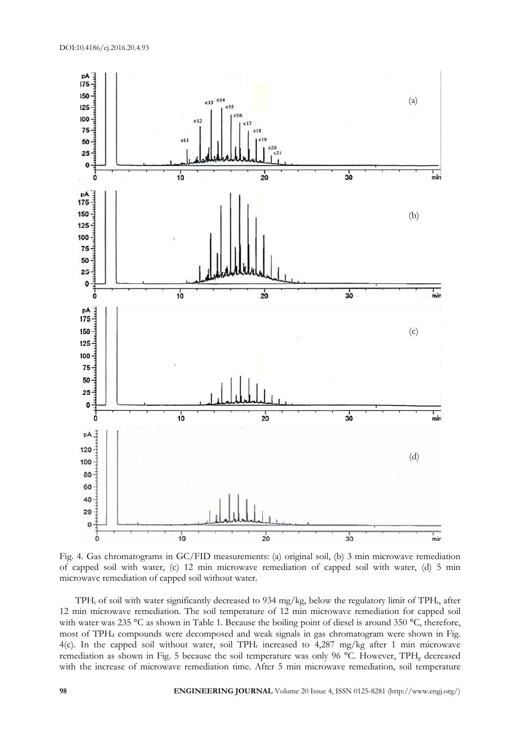

Fig. 4. Gas chromatograms in GC/FID measurements: (a) original soil, (b) 3 min microwave remediation of capped soil with water, (c) 12 min microwave remediation of capped soil with water, (d) 5 min microwave remediation of capped soil without water.

TPH<sub>t</sub> of soil with water significantly decreased to 934 mg/kg, below the regulatory limit of TPH<sub>t</sub>, after 12 min microwave remediation. The soil temperature of 12 min microwave remediation for capped soil with water was 235 °C as shown in Table 1. Because the boiling point of diesel is around 350 °C, therefore, most of TPH<sub>d</sub> compounds were decomposed and weak signals in gas chromatogram were shown in Fig. 4(c). In the capped soil without water, soil TPH<sub>t</sub> increased to 4,287 mg/kg after 1 min microwave remediation as shown in Fig. 5 because the soil temperature was only 96 °C. However, TPH<sub>g</sub> decreased with the increase of microwave remediation time. After 5 min microwave remediation, soil temperature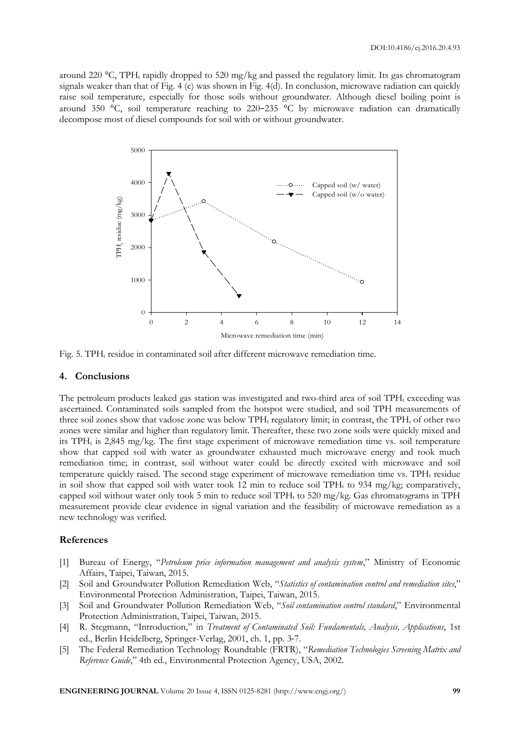around 220  $\degree$ C, TPH<sub>t</sub> rapidly dropped to 520 mg/kg and passed the regulatory limit. Its gas chromatogram signals weaker than that of Fig. 4 (c) was shown in Fig. 4(d). In conclusion, microwave radiation can quickly raise soil temperature, especially for those soils without groundwater. Although diesel boiling point is around 350 °C, soil temperature reaching to 220−235 °C by microwave radiation can dramatically decompose most of diesel compounds for soil with or without groundwater.



Fig. 5. TPH $<sub>t</sub>$  residue in contaminated soil after different microwave remediation time.</sub>

#### **4. Conclusions**

The petroleum products leaked gas station was investigated and two-third area of soil TPH<sub>t</sub> exceeding was ascertained. Contaminated soils sampled from the hotspot were studied, and soil TPH measurements of three soil zones show that vadose zone was below TPH<sub>t</sub> regulatory limit; in contrast, the TPH<sub>t</sub> of other two zones were similar and higher than regulatory limit. Thereafter, these two zone soils were quickly mixed and its  $TPH_t$  is 2,845 mg/kg. The first stage experiment of microwave remediation time vs. soil temperature show that capped soil with water as groundwater exhausted much microwave energy and took much remediation time; in contrast, soil without water could be directly excited with microwave and soil temperature quickly raised. The second stage experiment of microwave remediation time vs.  $TPH_t$  residue in soil show that capped soil with water took 12 min to reduce soil TPH<sub>t</sub> to 934 mg/kg; comparatively, capped soil without water only took 5 min to reduce soil  $TPH<sub>t</sub>$  to 520 mg/kg. Gas chromatograms in TPH measurement provide clear evidence in signal variation and the feasibility of microwave remediation as a new technology was verified.

## **References**

- [1] Bureau of Energy, "*Petroleum price information management and analysis system*," Ministry of Economic Affairs, Taipei, Taiwan, 2015.
- [2] Soil and Groundwater Pollution Remediation Web, "*Statistics of contamination control and remediation sites*," Environmental Protection Administration, Taipei, Taiwan, 2015.
- [3] Soil and Groundwater Pollution Remediation Web, "*Soil contamination control standard*," Environmental Protection Administration, Taipei, Taiwan, 2015.
- [4] R. Stegmann, "Introduction," in *Treatment of Contaminated Soil: Fundamentals, Analysis, Applications*, 1st ed., Berlin Heidelberg, Springer-Verlag, 2001, ch. 1, pp. 3-7.
- [5] The Federal Remediation Technology Roundtable (FRTR), "*Remediation Technologies Screening Matrix and Reference Guide*," 4th ed., Environmental Protection Agency, USA, 2002.